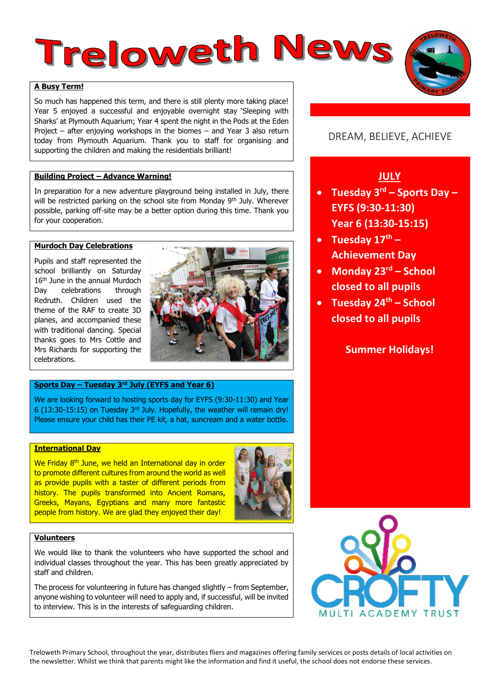# **Treloweth News**

# **A Busy Term!**

So much has happened this term, and there is still plenty more taking place! Year 5 enjoyed a successful and enjoyable overnight stay 'Sleeping with Sharks' at Plymouth Aquarium; Year 4 spent the night in the Pods at the Eden Project – after enjoying workshops in the biomes – and Year 3 also return today from Plymouth Aquarium. Thank you to staff for organising and supporting the children and making the residentials brilliant!

## **Building Project – Advance Warning!**

In preparation for a new adventure playground being installed in July, there will be restricted parking on the school site from Monday 9<sup>th</sup> July. Wherever possible, parking off-site may be a better option during this time. Thank you for your cooperation.

## **Murdoch Day Celebrations**

Pupils and staff represented the school brilliantly on Saturday 16<sup>th</sup> June in the annual Murdoch Day celebrations through Redruth. Children used the theme of the RAF to create 3D planes, and accompanied these with traditional dancing. Special thanks goes to Mrs Cottle and Mrs Richards for supporting the celebrations.



## **Sports Day – Tuesday 3rd July (EYFS and Year 6)**

We are looking forward to hosting sports day for EYFS (9:30-11:30) and Year 6 (13:30-15:15) on Tuesday 3rd July. Hopefully, the weather will remain dry! Please ensure your child has their PE kit, a hat, suncream and a water bottle.

# **International Day**

We Friday 8<sup>th</sup> June, we held an International day in order to promote different cultures from around the world as well as provide pupils with a taster of different periods from history. The pupils transformed into Ancient Romans, Greeks, Mayans, Egyptians and many more fantastic people from history. We are glad they enjoyed their day!



# **Volunteers**

We would like to thank the volunteers who have supported the school and individual classes throughout the year. This has been greatly appreciated by staff and children.

The process for volunteering in future has changed slightly – from September, anyone wishing to volunteer will need to apply and, if successful, will be invited to interview. This is in the interests of safeguarding children.

# DREAM, BELIEVE, ACHIEVE

# **JULY**

- **Tuesday 3rd – Sports Day – EYFS (9:30-11:30) Year 6 (13:30-15:15)**
- **Tuesday 17th – Achievement Day**
- **Monday 23rd – School closed to all pupils**
- **Tuesday 24th – School closed to all pupils**

# **Summer Holidays!**